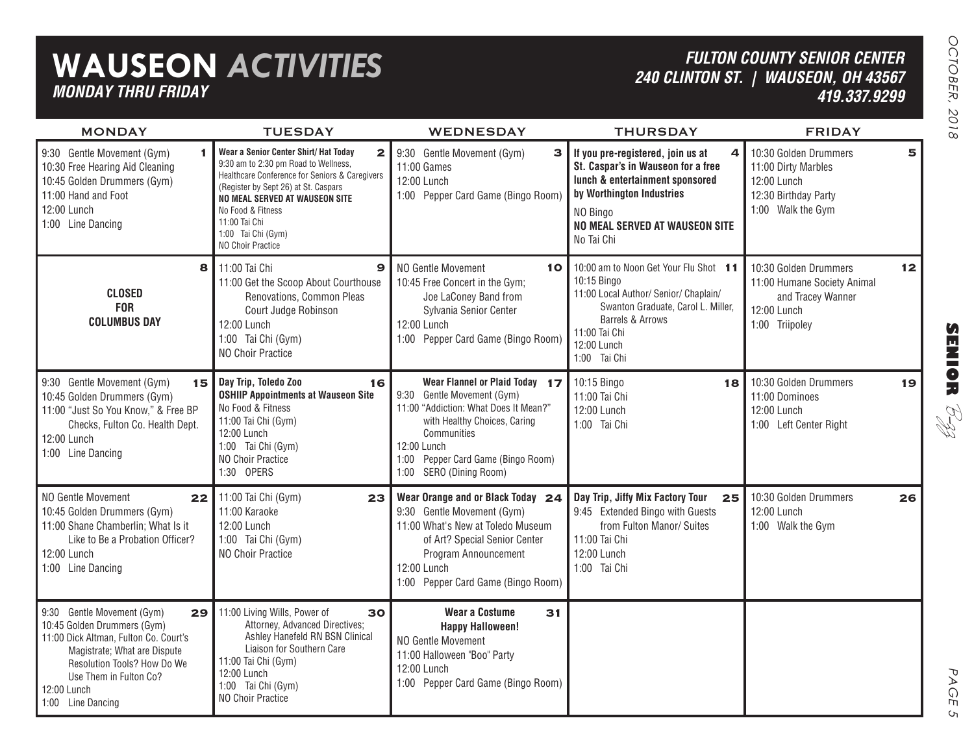## **WAUSEON** *ACTIVITIES MONDAY THRU FRIDAY*

## *FULTON COUNTY SENIOR CENTER 240 CLINTON ST. | WAUSEON, OH 43567 419.337.9299*

| <b>Service Service</b><br>۳<br>۰ |
|----------------------------------|
| ١<br>١                           |

| <b>MONDAY</b>                                                                                                                                                                                                                         | <b>TUESDAY</b>                                                                                                                                                                                                                                                                                             | <b>WEDNESDAY</b>                                                                                                                                                                                                                        | <b>THURSDAY</b>                                                                                                                                                                                          | <b>FRIDAY</b>                                                                                              |    |
|---------------------------------------------------------------------------------------------------------------------------------------------------------------------------------------------------------------------------------------|------------------------------------------------------------------------------------------------------------------------------------------------------------------------------------------------------------------------------------------------------------------------------------------------------------|-----------------------------------------------------------------------------------------------------------------------------------------------------------------------------------------------------------------------------------------|----------------------------------------------------------------------------------------------------------------------------------------------------------------------------------------------------------|------------------------------------------------------------------------------------------------------------|----|
| 9:30 Gentle Movement (Gym)<br>1<br>10:30 Free Hearing Aid Cleaning<br>10:45 Golden Drummers (Gym)<br>11:00 Hand and Foot<br>12:00 Lunch<br>1:00 Line Dancing                                                                          | Wear a Senior Center Shirt/ Hat Today<br>$\mathbf{z}$<br>9:30 am to 2:30 pm Road to Wellness,<br>Healthcare Conference for Seniors & Caregivers<br>(Register by Sept 26) at St. Caspars<br>NO MEAL SERVED AT WAUSEON SITE<br>No Food & Fitness<br>11:00 Tai Chi<br>1:00 Tai Chi (Gym)<br>NO Choir Practice | 9:30 Gentle Movement (Gym)<br>3<br>11:00 Games<br>12:00 Lunch<br>1:00 Pepper Card Game (Bingo Room)                                                                                                                                     | If you pre-registered, join us at<br>4<br>St. Caspar's in Wauseon for a free<br>lunch & entertainment sponsored<br>by Worthington Industries<br>NO Bingo<br>NO MEAL SERVED AT WAUSEON SITE<br>No Tai Chi | 10:30 Golden Drummers<br>11:00 Dirty Marbles<br>12:00 Lunch<br>12:30 Birthday Party<br>1:00 Walk the Gym   | 5  |
| 8<br><b>CLOSED</b><br><b>FOR</b><br><b>COLUMBUS DAY</b>                                                                                                                                                                               | 11:00 Tai Chi<br>$\mathbf{9}$<br>11:00 Get the Scoop About Courthouse<br>Renovations, Common Pleas<br>Court Judge Robinson<br>12:00 Lunch<br>1:00 Tai Chi (Gym)<br><b>NO Choir Practice</b>                                                                                                                | NO Gentle Movement<br>10<br>10:45 Free Concert in the Gym;<br>Joe LaConey Band from<br>Sylvania Senior Center<br>12:00 Lunch<br>1:00 Pepper Card Game (Bingo Room)                                                                      | 10:00 am to Noon Get Your Flu Shot 11<br>10:15 Bingo<br>11:00 Local Author/ Senior/ Chaplain/<br>Swanton Graduate, Carol L. Miller,<br>Barrels & Arrows<br>11:00 Tai Chi<br>12:00 Lunch<br>1:00 Tai Chi  | 10:30 Golden Drummers<br>11:00 Humane Society Animal<br>and Tracey Wanner<br>12:00 Lunch<br>1:00 Triipoley | 12 |
| 9:30 Gentle Movement (Gym)<br>15<br>10:45 Golden Drummers (Gym)<br>11:00 "Just So You Know," & Free BP<br>Checks, Fulton Co. Health Dept.<br>12:00 Lunch<br>1:00 Line Dancing                                                         | Day Trip, Toledo Zoo<br>16<br><b>OSHIIP Appointments at Wauseon Site</b><br>No Food & Fitness<br>11:00 Tai Chi (Gym)<br>12:00 Lunch<br>1:00 Tai Chi (Gym)<br>NO Choir Practice<br>1:30 OPERS                                                                                                               | Wear Flannel or Plaid Today 17<br>9:30 Gentle Movement (Gym)<br>11:00 "Addiction: What Does It Mean?"<br>with Healthy Choices, Caring<br>Communities<br>12:00 Lunch<br>Pepper Card Game (Bingo Room)<br>1:00<br>1:00 SERO (Dining Room) | 10:15 Bingo<br>18<br>11:00 Tai Chi<br>12:00 Lunch<br>1:00 Tai Chi                                                                                                                                        | 10:30 Golden Drummers<br>11:00 Dominoes<br>12:00 Lunch<br>1:00 Left Center Right                           | 19 |
| NO Gentle Movement<br>22<br>10:45 Golden Drummers (Gym)<br>11:00 Shane Chamberlin; What Is it<br>Like to Be a Probation Officer?<br>12:00 Lunch<br>1:00 Line Dancing                                                                  | 11:00 Tai Chi (Gym)<br>23<br>11:00 Karaoke<br>12:00 Lunch<br>1:00 Tai Chi (Gym)<br>NO Choir Practice                                                                                                                                                                                                       | Wear Orange and or Black Today 24<br>9:30 Gentle Movement (Gym)<br>11:00 What's New at Toledo Museum<br>of Art? Special Senior Center<br>Program Announcement<br>12:00 Lunch<br>1:00 Pepper Card Game (Bingo Room)                      | Day Trip, Jiffy Mix Factory Tour<br>25<br>9:45 Extended Bingo with Guests<br>from Fulton Manor/ Suites<br>11:00 Tai Chi<br>12:00 Lunch<br>1:00 Tai Chi                                                   | 10:30 Golden Drummers<br>12:00 Lunch<br>1:00 Walk the Gym                                                  | 26 |
| 9:30 Gentle Movement (Gym)<br>29<br>10:45 Golden Drummers (Gym)<br>11:00 Dick Altman, Fulton Co. Court's<br>Magistrate; What are Dispute<br>Resolution Tools? How Do We<br>Use Them in Fulton Co?<br>12:00 Lunch<br>1:00 Line Dancing | 11:00 Living Wills, Power of<br>30<br>Attorney, Advanced Directives;<br>Ashley Hanefeld RN BSN Clinical<br>Liaison for Southern Care<br>11:00 Tai Chi (Gym)<br>12:00 Lunch<br>1:00 Tai Chi (Gym)<br>NO Choir Practice                                                                                      | <b>Wear a Costume</b><br>31<br><b>Happy Halloween!</b><br><b>NO Gentle Movement</b><br>11:00 Halloween "Boo" Party<br>12:00 Lunch<br>1:00 Pepper Card Game (Bingo Room)                                                                 |                                                                                                                                                                                                          |                                                                                                            |    |

PAGE PAGE 5  $\mathsf{C}_{\mathsf{D}}$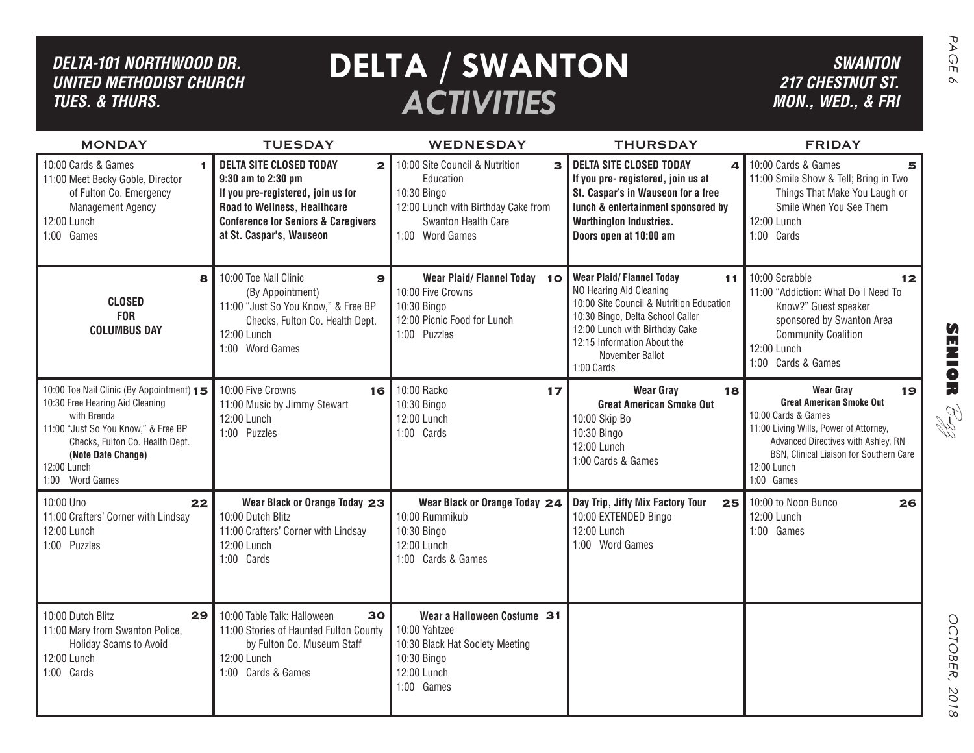| DELTA-101 NORTHWOOD DR.<br><b>UNITED METHODIST CHURCH</b><br><b>TUES. &amp; THURS.</b>                                                                                                                                        |                                                                                                                                                                                                                          | <b>DELTA / SWANTON</b><br><b>ACTIVITIES</b>                                                                                                                 |                                                                                                                                                                                                                                                    | <b>SWANTON</b><br><b>217 CHESTNUT ST.</b><br>MON., WED., & FRI                                                                                                                                                                            | PAGE<br>$\infty$                      |
|-------------------------------------------------------------------------------------------------------------------------------------------------------------------------------------------------------------------------------|--------------------------------------------------------------------------------------------------------------------------------------------------------------------------------------------------------------------------|-------------------------------------------------------------------------------------------------------------------------------------------------------------|----------------------------------------------------------------------------------------------------------------------------------------------------------------------------------------------------------------------------------------------------|-------------------------------------------------------------------------------------------------------------------------------------------------------------------------------------------------------------------------------------------|---------------------------------------|
| <b>MONDAY</b>                                                                                                                                                                                                                 | <b>TUESDAY</b>                                                                                                                                                                                                           | <b>WEDNESDAY</b>                                                                                                                                            | <b>THURSDAY</b>                                                                                                                                                                                                                                    | <b>FRIDAY</b>                                                                                                                                                                                                                             |                                       |
| 10:00 Cards & Games<br>11:00 Meet Becky Goble, Director<br>of Fulton Co. Emergency<br><b>Management Agency</b><br>12:00 Lunch<br>1:00 Games                                                                                   | <b>DELTA SITE CLOSED TODAY</b><br>$\mathbf{2}$<br>9:30 am to 2:30 pm<br>If you pre-registered, join us for<br>Road to Wellness, Healthcare<br><b>Conference for Seniors &amp; Caregivers</b><br>at St. Caspar's, Wauseon | 10:00 Site Council & Nutrition<br>$\mathbf{a}$<br>Education<br>10:30 Bingo<br>12:00 Lunch with Birthday Cake from<br>Swanton Health Care<br>1:00 Word Games | <b>DELTA SITE CLOSED TODAY</b><br>4<br>If you pre- registered, join us at<br>St. Caspar's in Wauseon for a free<br>lunch & entertainment sponsored by<br><b>Worthington Industries.</b><br>Doors open at 10:00 am                                  | 10:00 Cards & Games<br>11:00 Smile Show & Tell; Bring in Two<br>Things That Make You Laugh or<br>Smile When You See Them<br>12:00 Lunch<br>1:00 Cards                                                                                     |                                       |
| 8<br><b>CLOSED</b><br><b>FOR</b><br><b>COLUMBUS DAY</b>                                                                                                                                                                       | 10:00 Toe Nail Clinic<br>$\mathbf{Q}$<br>(By Appointment)<br>11:00 "Just So You Know," & Free BP<br>Checks, Fulton Co. Health Dept.<br>12:00 Lunch<br>1:00 Word Games                                                    | Wear Plaid/Flannel Today 10<br>10:00 Five Crowns<br>10:30 Bingo<br>12:00 Picnic Food for Lunch<br>1:00 Puzzles                                              | <b>Wear Plaid/Flannel Today</b><br>11<br>NO Hearing Aid Cleaning<br>10:00 Site Council & Nutrition Education<br>10:30 Bingo, Delta School Caller<br>12:00 Lunch with Birthday Cake<br>12:15 Information About the<br>November Ballot<br>1:00 Cards | 10:00 Scrabble<br>12<br>11:00 "Addiction: What Do I Need To<br>Know?" Guest speaker<br>sponsored by Swanton Area<br><b>Community Coalition</b><br>12:00 Lunch<br>1:00 Cards & Games                                                       | $\boldsymbol{\Omega}$<br><b>市営10万</b> |
| 10:00 Toe Nail Clinic (By Appointment) 15<br>10:30 Free Hearing Aid Cleaning<br>with Brenda<br>11:00 "Just So You Know," & Free BP<br>Checks, Fulton Co. Health Dept.<br>(Note Date Change)<br>12:00 Lunch<br>1:00 Word Games | 10:00 Five Crowns<br>16<br>11:00 Music by Jimmy Stewart<br>12:00 Lunch<br>1:00 Puzzles                                                                                                                                   | 10:00 Racko<br>17<br>10:30 Bingo<br>12:00 Lunch<br>1:00 Cards                                                                                               | <b>Wear Gray</b><br>18<br><b>Great American Smoke Out</b><br>10:00 Skip Bo<br>10:30 Bingo<br>12:00 Lunch<br>1:00 Cards & Games                                                                                                                     | <b>Wear Gray</b><br>19<br><b>Great American Smoke Out</b><br>10:00 Cards & Games<br>11:00 Living Wills, Power of Attorney,<br>Advanced Directives with Ashley, RN<br>BSN, Clinical Liaison for Southern Care<br>12:00 Lunch<br>1:00 Games | RI<br>R                               |
| 10:00 Uno<br>22<br>11:00 Crafters' Corner with Lindsay<br>12:00 Lunch<br>1:00 Puzzles                                                                                                                                         | Wear Black or Orange Today 23<br>10:00 Dutch Blitz<br>11:00 Crafters' Corner with Lindsay<br>12:00 Lunch<br>1:00 Cards                                                                                                   | Wear Black or Orange Today 24<br>10:00 Rummikub<br>10:30 Bingo<br>12:00 Lunch<br>1:00 Cards & Games                                                         | Day Trip, Jiffy Mix Factory Tour<br>25<br>10:00 EXTENDED Bingo<br>12:00 Lunch<br>1:00 Word Games                                                                                                                                                   | 10:00 to Noon Bunco<br>26<br>12:00 Lunch<br>1:00 Games                                                                                                                                                                                    |                                       |
| 10:00 Dutch Blitz<br>29<br>11:00 Mary from Swanton Police,<br>Holiday Scams to Avoid<br>12:00 Lunch<br>1:00 Cards                                                                                                             | 10:00 Table Talk: Halloween<br>30<br>11:00 Stories of Haunted Fulton County<br>by Fulton Co. Museum Staff<br>12:00 Lunch<br>1:00 Cards & Games                                                                           | Wear a Halloween Costume 31<br>10:00 Yahtzee<br>10:30 Black Hat Society Meeting<br>10:30 Bingo<br>12:00 Lunch<br>1:00 Games                                 |                                                                                                                                                                                                                                                    |                                                                                                                                                                                                                                           | OCTOBER,<br>2018                      |